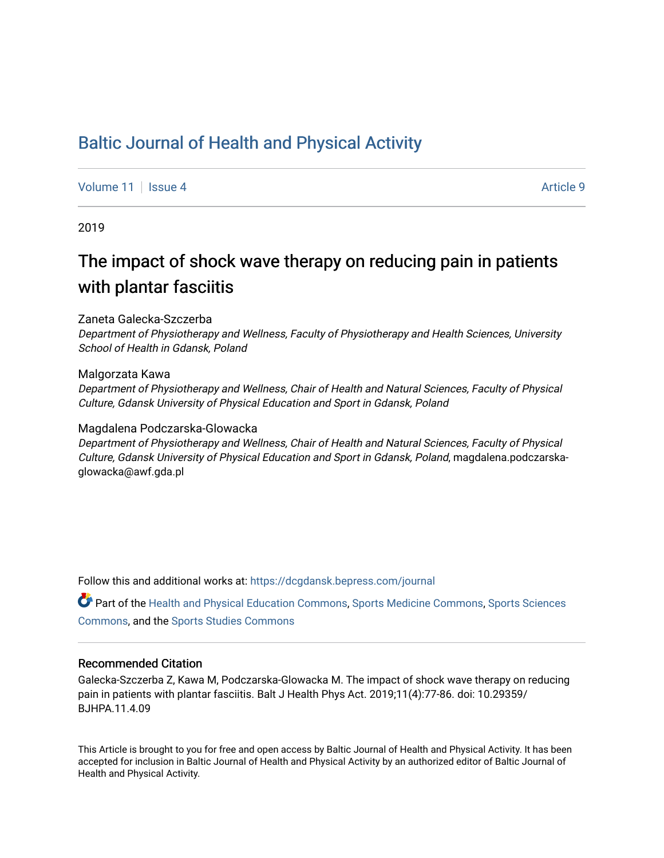## [Baltic Journal of Health and Physical Activity](https://dcgdansk.bepress.com/journal)

[Volume 11](https://dcgdansk.bepress.com/journal/vol11) | [Issue 4](https://dcgdansk.bepress.com/journal/vol11/iss4) Article 9

2019

# The impact of shock wave therapy on reducing pain in patients with plantar fasciitis

### Zaneta Galecka-Szczerba

Department of Physiotherapy and Wellness, Faculty of Physiotherapy and Health Sciences, University School of Health in Gdansk, Poland

#### Malgorzata Kawa

Department of Physiotherapy and Wellness, Chair of Health and Natural Sciences, Faculty of Physical Culture, Gdansk University of Physical Education and Sport in Gdansk, Poland

### Magdalena Podczarska-Glowacka

Department of Physiotherapy and Wellness, Chair of Health and Natural Sciences, Faculty of Physical Culture, Gdansk University of Physical Education and Sport in Gdansk, Poland, magdalena.podczarskaglowacka@awf.gda.pl

Follow this and additional works at: [https://dcgdansk.bepress.com/journal](https://dcgdansk.bepress.com/journal?utm_source=dcgdansk.bepress.com%2Fjournal%2Fvol11%2Fiss4%2F9&utm_medium=PDF&utm_campaign=PDFCoverPages)

Part of the [Health and Physical Education Commons](http://network.bepress.com/hgg/discipline/1327?utm_source=dcgdansk.bepress.com%2Fjournal%2Fvol11%2Fiss4%2F9&utm_medium=PDF&utm_campaign=PDFCoverPages), [Sports Medicine Commons,](http://network.bepress.com/hgg/discipline/1331?utm_source=dcgdansk.bepress.com%2Fjournal%2Fvol11%2Fiss4%2F9&utm_medium=PDF&utm_campaign=PDFCoverPages) [Sports Sciences](http://network.bepress.com/hgg/discipline/759?utm_source=dcgdansk.bepress.com%2Fjournal%2Fvol11%2Fiss4%2F9&utm_medium=PDF&utm_campaign=PDFCoverPages) [Commons](http://network.bepress.com/hgg/discipline/759?utm_source=dcgdansk.bepress.com%2Fjournal%2Fvol11%2Fiss4%2F9&utm_medium=PDF&utm_campaign=PDFCoverPages), and the [Sports Studies Commons](http://network.bepress.com/hgg/discipline/1198?utm_source=dcgdansk.bepress.com%2Fjournal%2Fvol11%2Fiss4%2F9&utm_medium=PDF&utm_campaign=PDFCoverPages) 

### Recommended Citation

Galecka-Szczerba Z, Kawa M, Podczarska-Glowacka M. The impact of shock wave therapy on reducing pain in patients with plantar fasciitis. Balt J Health Phys Act. 2019;11(4):77-86. doi: 10.29359/ BJHPA.11.4.09

This Article is brought to you for free and open access by Baltic Journal of Health and Physical Activity. It has been accepted for inclusion in Baltic Journal of Health and Physical Activity by an authorized editor of Baltic Journal of Health and Physical Activity.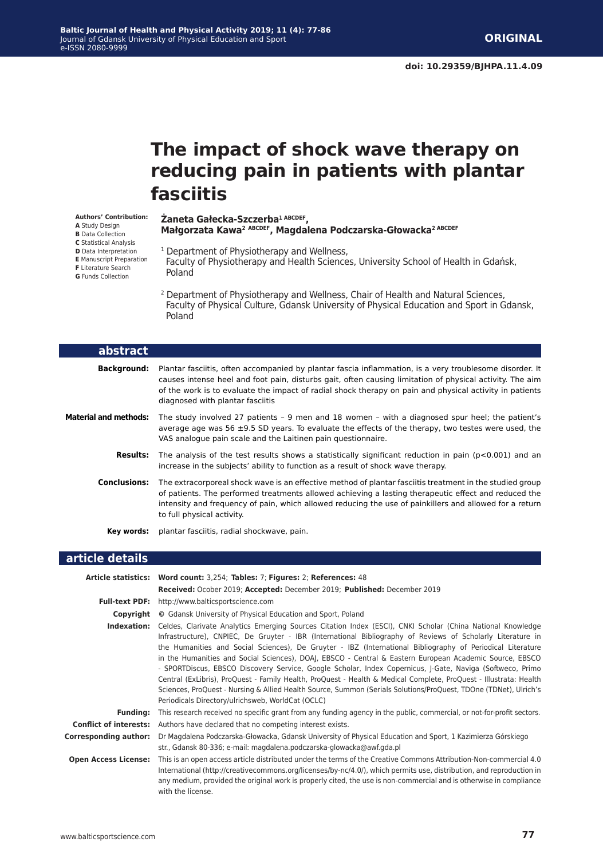# **The impact of shock wave therapy on reducing pain in patients with plantar fasciitis**

#### **Authors' Contribution: A** Study Design

**Żaneta Gałecka-Szczerba1 ABCDEF, Małgorzata Kawa<sup>2</sup> ABCDEF, Magdalena Podczarska-Głowacka2 ABCDEF**

- **B** Data Collection **C** Statistical Analysis
- **D** Data Interpretation
- **E** Manuscript Preparation
- **F** Literature Search
- **G** Funds Collection
- 1 Department of Physiotherapy and Wellness,

 Faculty of Physiotherapy and Health Sciences, University School of Health in Gdańsk, Poland

2 Department of Physiotherapy and Wellness, Chair of Health and Natural Sciences, Faculty of Physical Culture, Gdansk University of Physical Education and Sport in Gdansk, Poland

| abstract                     |                                                                                                                                                                                                                                                                                                                                                                    |
|------------------------------|--------------------------------------------------------------------------------------------------------------------------------------------------------------------------------------------------------------------------------------------------------------------------------------------------------------------------------------------------------------------|
| <b>Background:</b>           | Plantar fasciitis, often accompanied by plantar fascia inflammation, is a very troublesome disorder. It<br>causes intense heel and foot pain, disturbs gait, often causing limitation of physical activity. The aim<br>of the work is to evaluate the impact of radial shock therapy on pain and physical activity in patients<br>diagnosed with plantar fasciitis |
| <b>Material and methods:</b> | The study involved 27 patients - 9 men and 18 women - with a diagnosed spur heel; the patient's<br>average age was 56 $\pm$ 9.5 SD years. To evaluate the effects of the therapy, two testes were used, the<br>VAS analogue pain scale and the Laitinen pain questionnaire.                                                                                        |
| <b>Results:</b>              | The analysis of the test results shows a statistically significant reduction in pain ( $p<0.001$ ) and an<br>increase in the subjects' ability to function as a result of shock wave therapy.                                                                                                                                                                      |
| <b>Conclusions:</b>          | The extracorporeal shock wave is an effective method of plantar fasciitis treatment in the studied group<br>of patients. The performed treatments allowed achieving a lasting therapeutic effect and reduced the<br>intensity and frequency of pain, which allowed reducing the use of painkillers and allowed for a return<br>to full physical activity.          |
| Kev words:                   | plantar fasciitis, radial shockwave, pain.                                                                                                                                                                                                                                                                                                                         |

#### **article details**

|                               | Article statistics: Word count: 3,254; Tables: 7; Figures: 2; References: 48                                                                                                                                                                                                                                                                                                                                                                                                                                                                                                                                                                                                                                                                                                                                                                                  |
|-------------------------------|---------------------------------------------------------------------------------------------------------------------------------------------------------------------------------------------------------------------------------------------------------------------------------------------------------------------------------------------------------------------------------------------------------------------------------------------------------------------------------------------------------------------------------------------------------------------------------------------------------------------------------------------------------------------------------------------------------------------------------------------------------------------------------------------------------------------------------------------------------------|
|                               | <b>Received:</b> Ocober 2019; <b>Accepted:</b> December 2019; <b>Published:</b> December 2019                                                                                                                                                                                                                                                                                                                                                                                                                                                                                                                                                                                                                                                                                                                                                                 |
|                               | Full-text PDF: http://www.balticsportscience.com                                                                                                                                                                                                                                                                                                                                                                                                                                                                                                                                                                                                                                                                                                                                                                                                              |
| Copyright                     | © Gdansk University of Physical Education and Sport, Poland                                                                                                                                                                                                                                                                                                                                                                                                                                                                                                                                                                                                                                                                                                                                                                                                   |
| Indexation:                   | Celdes, Clarivate Analytics Emerging Sources Citation Index (ESCI), CNKI Scholar (China National Knowledge<br>Infrastructure), CNPIEC, De Gruyter - IBR (International Bibliography of Reviews of Scholarly Literature in<br>the Humanities and Social Sciences), De Gruyter - IBZ (International Bibliography of Periodical Literature<br>in the Humanities and Social Sciences), DOAJ, EBSCO - Central & Eastern European Academic Source, EBSCO<br>- SPORTDiscus, EBSCO Discovery Service, Google Scholar, Index Copernicus, J-Gate, Naviga (Softweco, Primo<br>Central (ExLibris), ProQuest - Family Health, ProQuest - Health & Medical Complete, ProQuest - Illustrata: Health<br>Sciences, ProQuest - Nursing & Allied Health Source, Summon (Serials Solutions/ProQuest, TDOne (TDNet), Ulrich's<br>Periodicals Directory/ulrichsweb, WorldCat (OCLC) |
| <b>Fundina:</b>               | This research received no specific grant from any funding agency in the public, commercial, or not-for-profit sectors.                                                                                                                                                                                                                                                                                                                                                                                                                                                                                                                                                                                                                                                                                                                                        |
| <b>Conflict of interests:</b> | Authors have declared that no competing interest exists.                                                                                                                                                                                                                                                                                                                                                                                                                                                                                                                                                                                                                                                                                                                                                                                                      |
| <b>Corresponding author:</b>  | Dr Magdalena Podczarska-Głowacka, Gdansk University of Physical Education and Sport, 1 Kazimierza Górskiego<br>str., Gdansk 80-336; e-mail: magdalena.podczarska-glowacka@awf.gda.pl                                                                                                                                                                                                                                                                                                                                                                                                                                                                                                                                                                                                                                                                          |
| <b>Open Access License:</b>   | This is an open access article distributed under the terms of the Creative Commons Attribution-Non-commercial 4.0<br>International (http://creativecommons.org/licenses/by-nc/4.0/), which permits use, distribution, and reproduction in<br>any medium, provided the original work is properly cited, the use is non-commercial and is otherwise in compliance<br>with the license.                                                                                                                                                                                                                                                                                                                                                                                                                                                                          |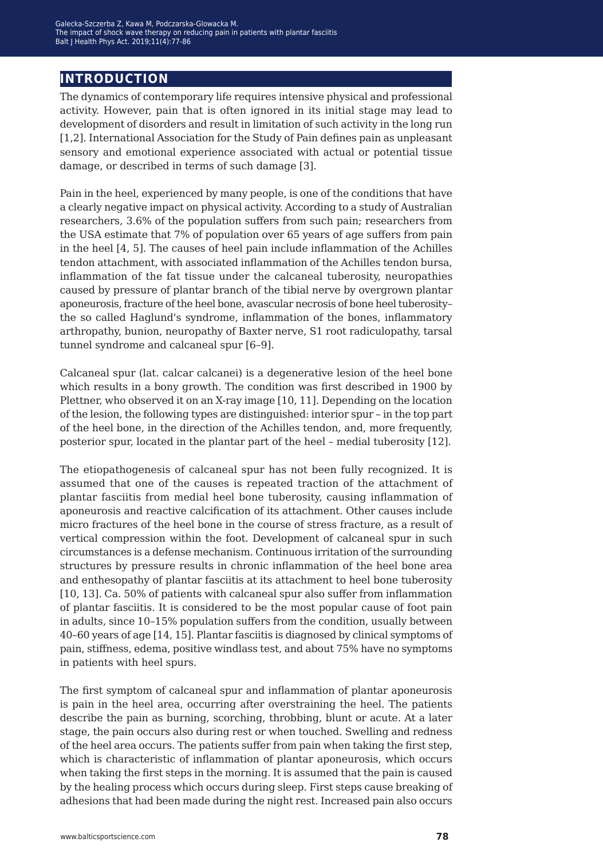## **introduction**

The dynamics of contemporary life requires intensive physical and professional activity. However, pain that is often ignored in its initial stage may lead to development of disorders and result in limitation of such activity in the long run [1,2]. International Association for the Study of Pain defines pain as unpleasant sensory and emotional experience associated with actual or potential tissue damage, or described in terms of such damage [3].

Pain in the heel, experienced by many people, is one of the conditions that have a clearly negative impact on physical activity. According to a study of Australian researchers, 3.6% of the population suffers from such pain; researchers from the USA estimate that 7% of population over 65 years of age suffers from pain in the heel [4, 5]. The causes of heel pain include inflammation of the Achilles tendon attachment, with associated inflammation of the Achilles tendon bursa, inflammation of the fat tissue under the calcaneal tuberosity, neuropathies caused by pressure of plantar branch of the tibial nerve by overgrown plantar aponeurosis, fracture of the heel bone, avascular necrosis of bone heel tuberosity– the so called Haglund's syndrome, inflammation of the bones, inflammatory arthropathy, bunion, neuropathy of Baxter nerve, S1 root radiculopathy, tarsal tunnel syndrome and calcaneal spur [6–9].

Calcaneal spur (lat. calcar calcanei) is a degenerative lesion of the heel bone which results in a bony growth. The condition was first described in 1900 by Plettner, who observed it on an X-ray image [10, 11]. Depending on the location of the lesion, the following types are distinguished: interior spur – in the top part of the heel bone, in the direction of the Achilles tendon, and, more frequently, posterior spur, located in the plantar part of the heel – medial tuberosity [12].

The etiopathogenesis of calcaneal spur has not been fully recognized. It is assumed that one of the causes is repeated traction of the attachment of plantar fasciitis from medial heel bone tuberosity, causing inflammation of aponeurosis and reactive calcification of its attachment. Other causes include micro fractures of the heel bone in the course of stress fracture, as a result of vertical compression within the foot. Development of calcaneal spur in such circumstances is a defense mechanism. Continuous irritation of the surrounding structures by pressure results in chronic inflammation of the heel bone area and enthesopathy of plantar fasciitis at its attachment to heel bone tuberosity [10, 13]. Ca. 50% of patients with calcaneal spur also suffer from inflammation of plantar fasciitis. It is considered to be the most popular cause of foot pain in adults, since 10–15% population suffers from the condition, usually between 40–60 years of age [14, 15]. Plantar fasciitis is diagnosed by clinical symptoms of pain, stiffness, edema, positive windlass test, and about 75% have no symptoms in patients with heel spurs.

The first symptom of calcaneal spur and inflammation of plantar aponeurosis is pain in the heel area, occurring after overstraining the heel. The patients describe the pain as burning, scorching, throbbing, blunt or acute. At a later stage, the pain occurs also during rest or when touched. Swelling and redness of the heel area occurs. The patients suffer from pain when taking the first step, which is characteristic of inflammation of plantar aponeurosis, which occurs when taking the first steps in the morning. It is assumed that the pain is caused by the healing process which occurs during sleep. First steps cause breaking of adhesions that had been made during the night rest. Increased pain also occurs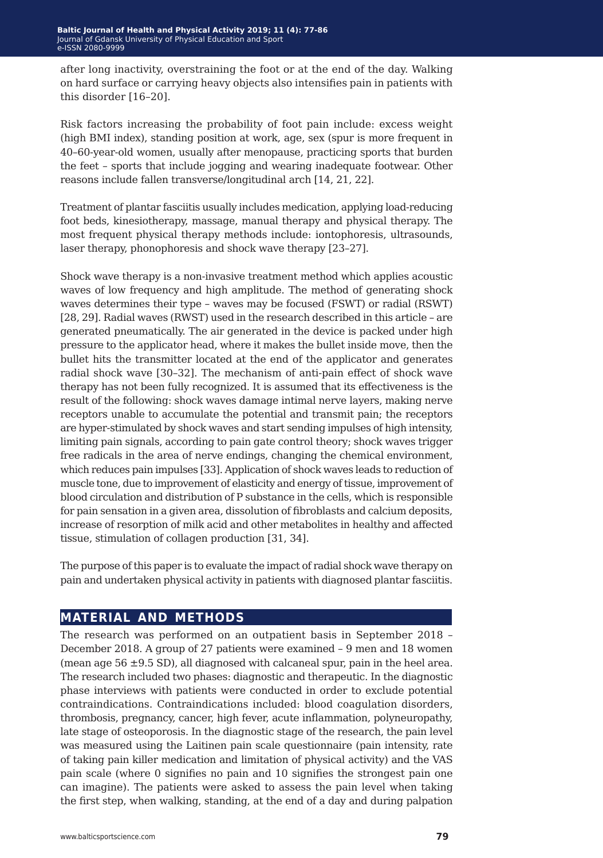after long inactivity, overstraining the foot or at the end of the day. Walking on hard surface or carrying heavy objects also intensifies pain in patients with this disorder [16–20].

Risk factors increasing the probability of foot pain include: excess weight (high BMI index), standing position at work, age, sex (spur is more frequent in 40–60-year-old women, usually after menopause, practicing sports that burden the feet – sports that include jogging and wearing inadequate footwear. Other reasons include fallen transverse/longitudinal arch [14, 21, 22].

Treatment of plantar fasciitis usually includes medication, applying load-reducing foot beds, kinesiotherapy, massage, manual therapy and physical therapy. The most frequent physical therapy methods include: iontophoresis, ultrasounds, laser therapy, phonophoresis and shock wave therapy [23–27].

Shock wave therapy is a non-invasive treatment method which applies acoustic waves of low frequency and high amplitude. The method of generating shock waves determines their type – waves may be focused (FSWT) or radial (RSWT) [28, 29]. Radial waves (RWST) used in the research described in this article – are generated pneumatically. The air generated in the device is packed under high pressure to the applicator head, where it makes the bullet inside move, then the bullet hits the transmitter located at the end of the applicator and generates radial shock wave [30–32]. The mechanism of anti-pain effect of shock wave therapy has not been fully recognized. It is assumed that its effectiveness is the result of the following: shock waves damage intimal nerve layers, making nerve receptors unable to accumulate the potential and transmit pain; the receptors are hyper-stimulated by shock waves and start sending impulses of high intensity, limiting pain signals, according to pain gate control theory; shock waves trigger free radicals in the area of nerve endings, changing the chemical environment, which reduces pain impulses [33]. Application of shock waves leads to reduction of muscle tone, due to improvement of elasticity and energy of tissue, improvement of blood circulation and distribution of P substance in the cells, which is responsible for pain sensation in a given area, dissolution of fibroblasts and calcium deposits, increase of resorption of milk acid and other metabolites in healthy and affected tissue, stimulation of collagen production [31, 34].

The purpose of this paper is to evaluate the impact of radial shock wave therapy on pain and undertaken physical activity in patients with diagnosed plantar fasciitis.

## **material and methods**

The research was performed on an outpatient basis in September 2018 – December 2018. A group of 27 patients were examined – 9 men and 18 women (mean age  $56 \pm 9.5$  SD), all diagnosed with calcaneal spur, pain in the heel area. The research included two phases: diagnostic and therapeutic. In the diagnostic phase interviews with patients were conducted in order to exclude potential contraindications. Contraindications included: blood coagulation disorders, thrombosis, pregnancy, cancer, high fever, acute inflammation, polyneuropathy, late stage of osteoporosis. In the diagnostic stage of the research, the pain level was measured using the Laitinen pain scale questionnaire (pain intensity, rate of taking pain killer medication and limitation of physical activity) and the VAS pain scale (where 0 signifies no pain and 10 signifies the strongest pain one can imagine). The patients were asked to assess the pain level when taking the first step, when walking, standing, at the end of a day and during palpation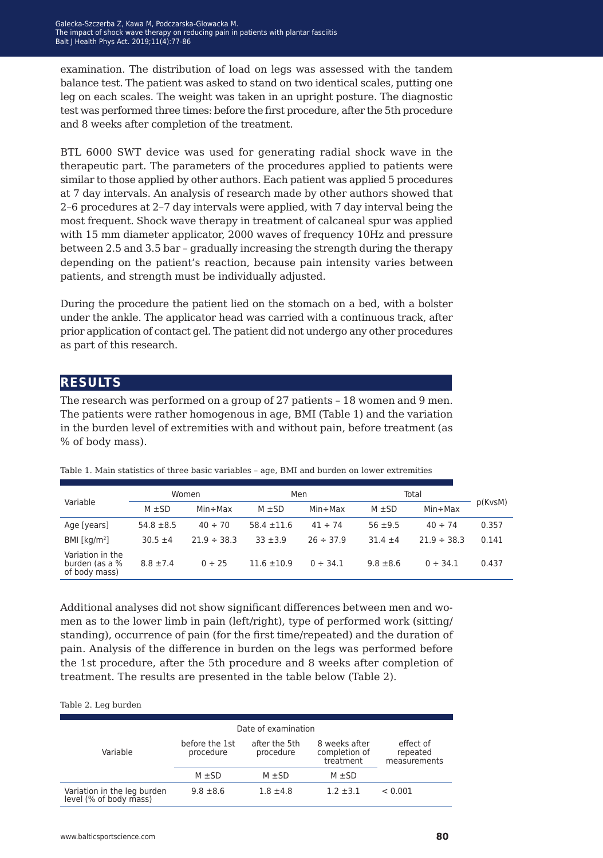examination. The distribution of load on legs was assessed with the tandem balance test. The patient was asked to stand on two identical scales, putting one leg on each scales. The weight was taken in an upright posture. The diagnostic test was performed three times: before the first procedure, after the 5th procedure and 8 weeks after completion of the treatment.

BTL 6000 SWT device was used for generating radial shock wave in the therapeutic part. The parameters of the procedures applied to patients were similar to those applied by other authors. Each patient was applied 5 procedures at 7 day intervals. An analysis of research made by other authors showed that 2–6 procedures at 2–7 day intervals were applied, with 7 day interval being the most frequent. Shock wave therapy in treatment of calcaneal spur was applied with 15 mm diameter applicator, 2000 waves of frequency 10Hz and pressure between 2.5 and 3.5 bar – gradually increasing the strength during the therapy depending on the patient's reaction, because pain intensity varies between patients, and strength must be individually adjusted.

During the procedure the patient lied on the stomach on a bed, with a bolster under the ankle. The applicator head was carried with a continuous track, after prior application of contact gel. The patient did not undergo any other procedures as part of this research.

## **results**

The research was performed on a group of 27 patients – 18 women and 9 men. The patients were rather homogenous in age, BMI (Table 1) and the variation in the burden level of extremities with and without pain, before treatment (as % of body mass).

|                                                     | Women          |                  | Men             |                | Total         |                  |         |
|-----------------------------------------------------|----------------|------------------|-----------------|----------------|---------------|------------------|---------|
| Variable                                            | $M \pm SD$     | $Min + Max$      | $M \pm SD$      | $Min + Max$    | $M \pm SD$    | $Min + Max$      | p(KvsM) |
| Age [years]                                         | $54.8 \pm 8.5$ | $40 \div 70$     | $58.4 \pm 11.6$ | $41 \div 74$   | $56 + 9.5$    | $40 \div 74$     | 0.357   |
| BMI [ $kg/m2$ ]                                     | $30.5 \pm 4$   | $21.9 \div 38.3$ | $33 + 3.9$      | $26 \div 37.9$ | $31.4 \pm 4$  | $21.9 \div 38.3$ | 0.141   |
| Variation in the<br>burden (as a %<br>of body mass) | $8.8 \pm 7.4$  | $0 \div 25$      | $11.6 \pm 10.9$ | $0 \div 34.1$  | $9.8 \pm 8.6$ | $0 \div 34.1$    | 0.437   |

Table 1. Main statistics of three basic variables – age, BMI and burden on lower extremities

Additional analyses did not show significant differences between men and women as to the lower limb in pain (left/right), type of performed work (sitting/ standing), occurrence of pain (for the first time/repeated) and the duration of pain. Analysis of the difference in burden on the legs was performed before the 1st procedure, after the 5th procedure and 8 weeks after completion of treatment. The results are presented in the table below (Table 2).

#### Table 2. Leg burden

|                                                       |                             | Date of examination        |                                             |                                       |  |
|-------------------------------------------------------|-----------------------------|----------------------------|---------------------------------------------|---------------------------------------|--|
| Variable                                              | before the 1st<br>procedure | after the 5th<br>procedure | 8 weeks after<br>completion of<br>treatment | effect of<br>repeated<br>measurements |  |
|                                                       | $M \pm SD$                  | $M + SD$                   | $M \pm SD$                                  |                                       |  |
| Variation in the leg burden<br>level (% of body mass) | $9.8 \pm 8.6$               | $1.8 \pm 4.8$              | $1.2 + 3.1$                                 | < 0.001                               |  |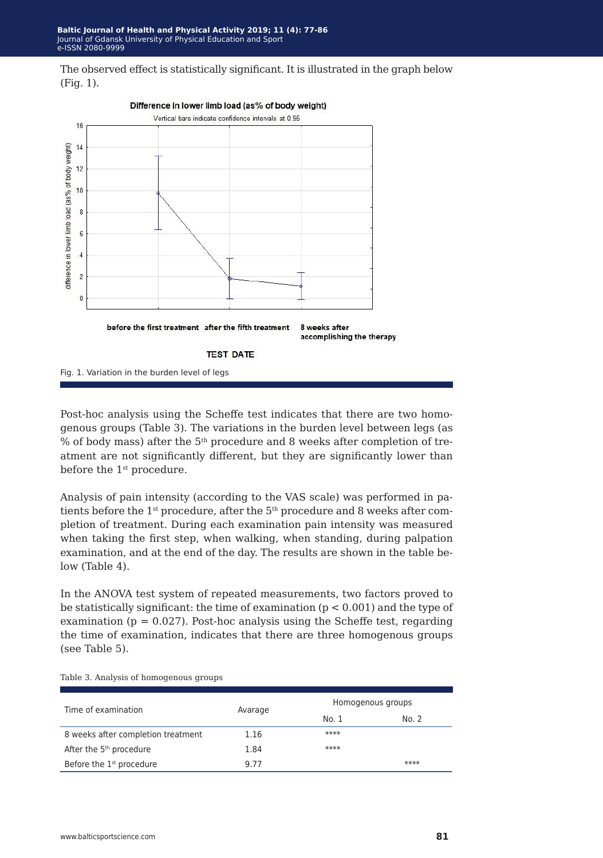The observed effect is statistically significant. It is illustrated in the graph below (Fig. 1).



Post-hoc analysis using the Scheffe test indicates that there are two homogenous groups (Table 3). The variations in the burden level between legs (as % of body mass) after the 5th procedure and 8 weeks after completion of treatment are not significantly different, but they are significantly lower than before the 1<sup>st</sup> procedure.

Analysis of pain intensity (according to the VAS scale) was performed in patients before the  $1^{st}$  procedure, after the  $5^{th}$  procedure and 8 weeks after completion of treatment. During each examination pain intensity was measured when taking the first step, when walking, when standing, during palpation examination, and at the end of the day. The results are shown in the table below (Table 4).

In the ANOVA test system of repeated measurements, two factors proved to be statistically significant: the time of examination  $(p < 0.001)$  and the type of examination ( $p = 0.027$ ). Post-hoc analysis using the Scheffe test, regarding the time of examination, indicates that there are three homogenous groups (see Table 5).

| Time of examination                  | Avarage | Homogenous groups |       |  |
|--------------------------------------|---------|-------------------|-------|--|
|                                      |         | No. 1             | No. 2 |  |
| 8 weeks after completion treatment   | 1.16    | ****              |       |  |
| After the 5 <sup>th</sup> procedure  | 1.84    | ****              |       |  |
| Before the 1 <sup>st</sup> procedure | 9.77    |                   | ****  |  |

Table 3. Analysis of homogenous groups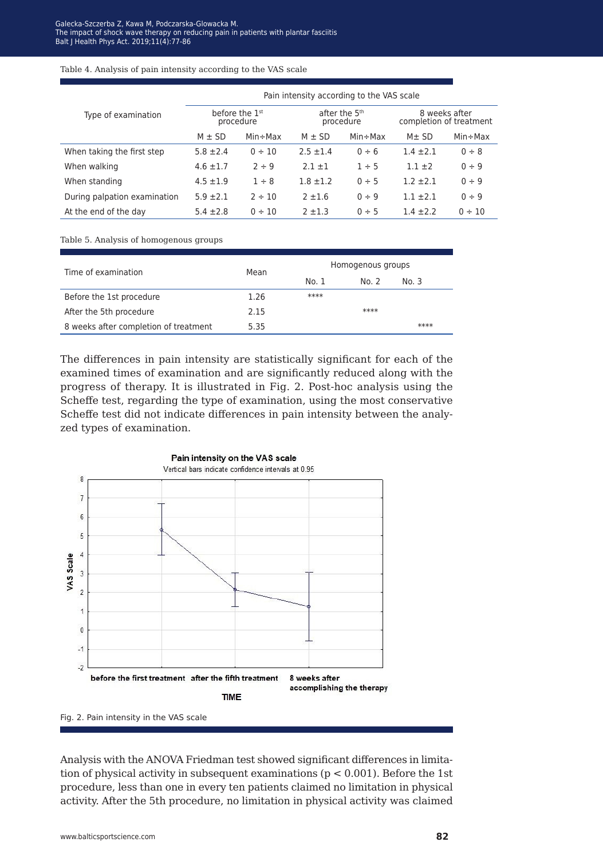Table 4. Analysis of pain intensity according to the VAS scale

|                              | Pain intensity according to the VAS scale |             |                                        |             |                                          |             |  |
|------------------------------|-------------------------------------------|-------------|----------------------------------------|-------------|------------------------------------------|-------------|--|
| Type of examination          | before the 1 <sup>st</sup><br>procedure   |             | after the 5 <sup>th</sup><br>procedure |             | 8 weeks after<br>completion of treatment |             |  |
|                              | $M \pm SD$                                | $Min + Max$ | $M \pm SD$                             | $Min + Max$ | $M \pm SD$                               | $Min + Max$ |  |
| When taking the first step   | $5.8 \pm 2.4$                             | $0 \div 10$ | $2.5 \pm 1.4$                          | $0 \div 6$  | $1.4 + 2.1$                              | 0 ÷ 8       |  |
| When walking                 | $4.6 \pm 1.7$                             | $2 \div 9$  | $2.1 \pm 1$                            | $1 \div 5$  | $1.1 \pm 2$                              | 0 ÷ 9       |  |
| When standing                | $4.5 \pm 1.9$                             | $1 \div 8$  | $1.8 \pm 1.2$                          | $0 \div 5$  | $1.2 \pm 2.1$                            | $0 \div 9$  |  |
| During palpation examination | $5.9 \pm 2.1$                             | $2 \div 10$ | $2 + 1.6$                              | $0 \div 9$  | $1.1 + 2.1$                              | $0 \div 9$  |  |
| At the end of the day        | $5.4 \pm 2.8$                             | $0 \div 10$ | $2 + 1.3$                              | $0 \div 5$  | $1.4 \pm 2.2$                            | $0 \div 10$ |  |

Table 5. Analysis of homogenous groups

| Time of examination                   | Mean | Homogenous groups |       |       |  |
|---------------------------------------|------|-------------------|-------|-------|--|
|                                       |      | No. 1             | No. 2 | No. 3 |  |
| Before the 1st procedure              | 1.26 | ****              |       |       |  |
| After the 5th procedure               | 2.15 |                   | ****  |       |  |
| 8 weeks after completion of treatment | 5.35 |                   |       | ****  |  |

The differences in pain intensity are statistically significant for each of the examined times of examination and are significantly reduced along with the progress of therapy. It is illustrated in Fig. 2. Post-hoc analysis using the Scheffe test, regarding the type of examination, using the most conservative Scheffe test did not indicate differences in pain intensity between the analyzed types of examination.



Fig. 2. Pain intensity in the VAS scale

Analysis with the ANOVA Friedman test showed significant differences in limitation of physical activity in subsequent examinations ( $p < 0.001$ ). Before the 1st procedure, less than one in every ten patients claimed no limitation in physical activity. After the 5th procedure, no limitation in physical activity was claimed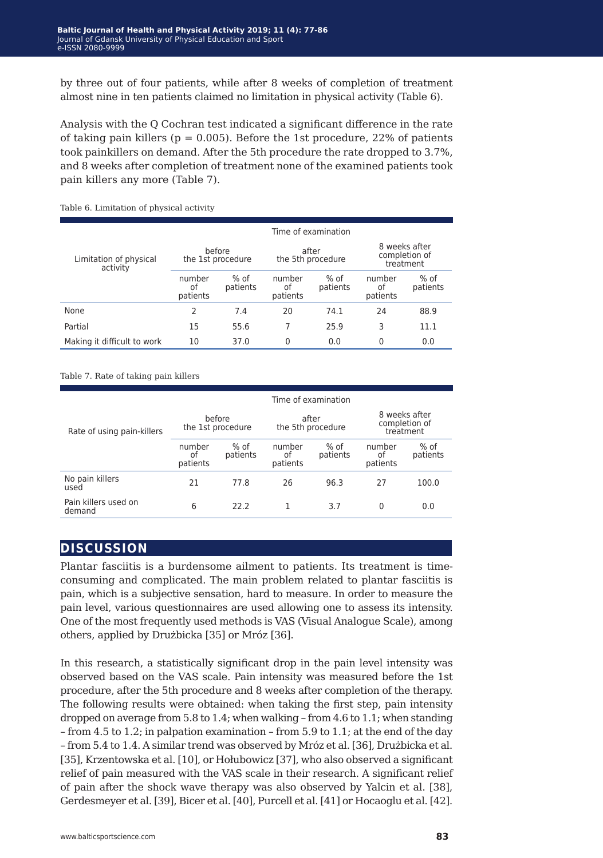by three out of four patients, while after 8 weeks of completion of treatment almost nine in ten patients claimed no limitation in physical activity (Table 6).

Analysis with the Q Cochran test indicated a significant difference in the rate of taking pain killers ( $p = 0.005$ ). Before the 1st procedure, 22% of patients took painkillers on demand. After the 5th procedure the rate dropped to 3.7%, and 8 weeks after completion of treatment none of the examined patients took pain killers any more (Table 7).

|                                    |                             |                    |                            | Time of examination |                                             |                  |
|------------------------------------|-----------------------------|--------------------|----------------------------|---------------------|---------------------------------------------|------------------|
| Limitation of physical<br>activity | before<br>the 1st procedure |                    | after<br>the 5th procedure |                     | 8 weeks after<br>completion of<br>treatment |                  |
|                                    | number<br>οf<br>patients    | $%$ of<br>patients | number<br>οf<br>patients   | % of<br>patients    | number<br>οf<br>patients                    | % of<br>patients |
| None                               | 2                           | 7.4                | 20                         | 74.1                | 24                                          | 88.9             |
| Partial                            | 15                          | 55.6               | 7                          | 25.9                | 3                                           | 11.1             |
| Making it difficult to work        | 10                          | 37.0               | 0                          | 0.0                 | $\mathbf{0}$                                | 0.0              |

Table 6. Limitation of physical activity

Table 7. Rate of taking pain killers

|                                | Time of examination         |                    |                            |                    |                                             |                    |
|--------------------------------|-----------------------------|--------------------|----------------------------|--------------------|---------------------------------------------|--------------------|
| Rate of using pain-killers     | before<br>the 1st procedure |                    | after<br>the 5th procedure |                    | 8 weeks after<br>completion of<br>treatment |                    |
|                                | number<br>οf<br>patients    | $%$ of<br>patients | number<br>οf<br>patients   | $%$ of<br>patients | number<br>οf<br>patients                    | $%$ of<br>patients |
| No pain killers<br>used        | 21                          | 77.8               | 26                         | 96.3               | 27                                          | 100.0              |
| Pain killers used on<br>demand | 6                           | 22.2               |                            | 3.7                | 0                                           | 0.0                |

### **discussion**

Plantar fasciitis is a burdensome ailment to patients. Its treatment is timeconsuming and complicated. The main problem related to plantar fasciitis is pain, which is a subjective sensation, hard to measure. In order to measure the pain level, various questionnaires are used allowing one to assess its intensity. One of the most frequently used methods is VAS (Visual Analogue Scale), among others, applied by Drużbicka [35] or Mróz [36].

In this research, a statistically significant drop in the pain level intensity was observed based on the VAS scale. Pain intensity was measured before the 1st procedure, after the 5th procedure and 8 weeks after completion of the therapy. The following results were obtained: when taking the first step, pain intensity dropped on average from 5.8 to 1.4; when walking – from 4.6 to 1.1; when standing – from 4.5 to 1.2; in palpation examination – from 5.9 to 1.1; at the end of the day – from 5.4 to 1.4. A similar trend was observed by Mróz et al. [36], Drużbicka et al. [35], Krzentowska et al. [10], or Hołubowicz [37], who also observed a significant relief of pain measured with the VAS scale in their research. A significant relief of pain after the shock wave therapy was also observed by Yalcin et al. [38], Gerdesmeyer et al. [39], Bicer et al. [40], Purcell et al. [41] or Hocaoglu et al. [42].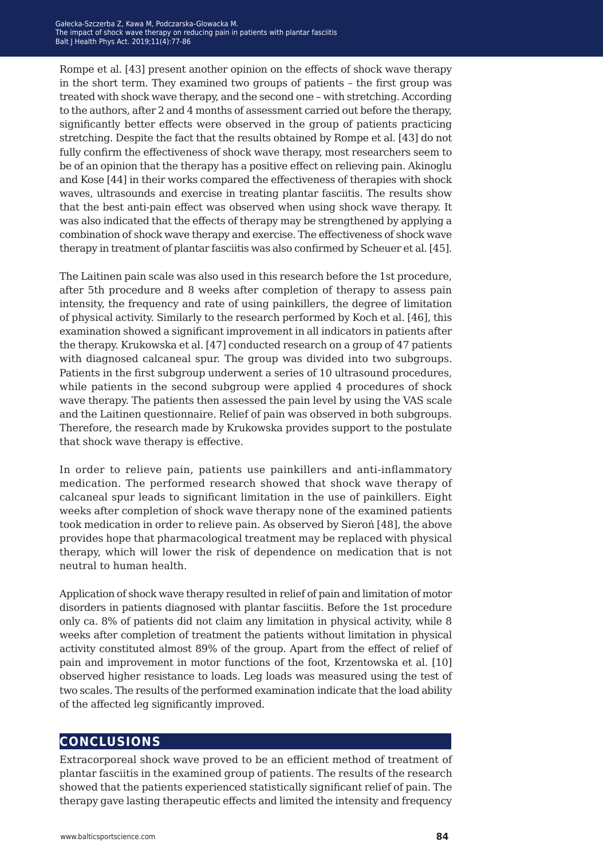Rompe et al. [43] present another opinion on the effects of shock wave therapy in the short term. They examined two groups of patients – the first group was treated with shock wave therapy, and the second one – with stretching. According to the authors, after 2 and 4 months of assessment carried out before the therapy, significantly better effects were observed in the group of patients practicing stretching. Despite the fact that the results obtained by Rompe et al. [43] do not fully confirm the effectiveness of shock wave therapy, most researchers seem to be of an opinion that the therapy has a positive effect on relieving pain. Akinoglu and Kose [44] in their works compared the effectiveness of therapies with shock waves, ultrasounds and exercise in treating plantar fasciitis. The results show that the best anti-pain effect was observed when using shock wave therapy. It was also indicated that the effects of therapy may be strengthened by applying a combination of shock wave therapy and exercise. The effectiveness of shock wave therapy in treatment of plantar fasciitis was also confirmed by Scheuer et al. [45].

The Laitinen pain scale was also used in this research before the 1st procedure, after 5th procedure and 8 weeks after completion of therapy to assess pain intensity, the frequency and rate of using painkillers, the degree of limitation of physical activity. Similarly to the research performed by Koch et al. [46], this examination showed a significant improvement in all indicators in patients after the therapy. Krukowska et al. [47] conducted research on a group of 47 patients with diagnosed calcaneal spur. The group was divided into two subgroups. Patients in the first subgroup underwent a series of 10 ultrasound procedures, while patients in the second subgroup were applied 4 procedures of shock wave therapy. The patients then assessed the pain level by using the VAS scale and the Laitinen questionnaire. Relief of pain was observed in both subgroups. Therefore, the research made by Krukowska provides support to the postulate that shock wave therapy is effective.

In order to relieve pain, patients use painkillers and anti-inflammatory medication. The performed research showed that shock wave therapy of calcaneal spur leads to significant limitation in the use of painkillers. Eight weeks after completion of shock wave therapy none of the examined patients took medication in order to relieve pain. As observed by Sieroń [48], the above provides hope that pharmacological treatment may be replaced with physical therapy, which will lower the risk of dependence on medication that is not neutral to human health.

Application of shock wave therapy resulted in relief of pain and limitation of motor disorders in patients diagnosed with plantar fasciitis. Before the 1st procedure only ca. 8% of patients did not claim any limitation in physical activity, while 8 weeks after completion of treatment the patients without limitation in physical activity constituted almost 89% of the group. Apart from the effect of relief of pain and improvement in motor functions of the foot, Krzentowska et al. [10] observed higher resistance to loads. Leg loads was measured using the test of two scales. The results of the performed examination indicate that the load ability of the affected leg significantly improved.

### **conclusions**

Extracorporeal shock wave proved to be an efficient method of treatment of plantar fasciitis in the examined group of patients. The results of the research showed that the patients experienced statistically significant relief of pain. The therapy gave lasting therapeutic effects and limited the intensity and frequency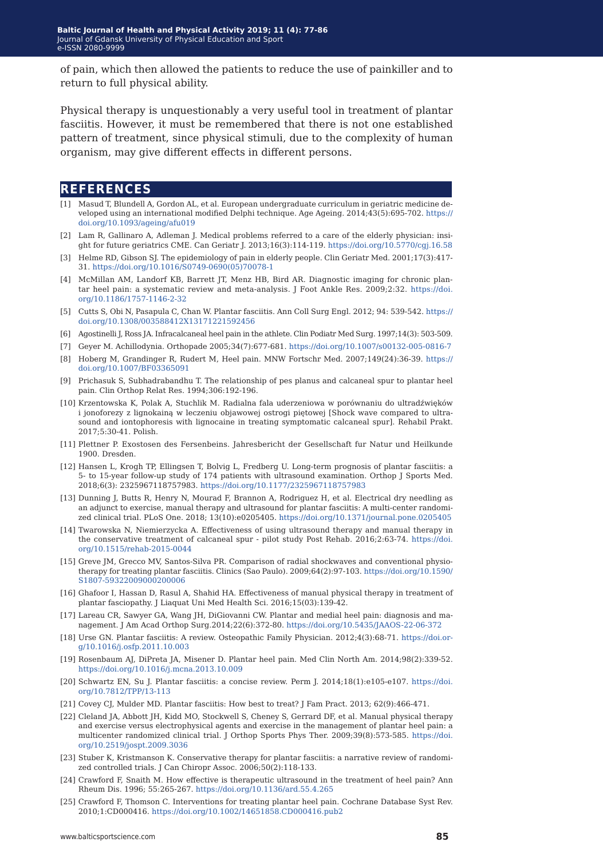of pain, which then allowed the patients to reduce the use of painkiller and to return to full physical ability.

Physical therapy is unquestionably a very useful tool in treatment of plantar fasciitis. However, it must be remembered that there is not one established pattern of treatment, since physical stimuli, due to the complexity of human organism, may give different effects in different persons.

### **references**

- [1] Masud T, Blundell A, Gordon AL, et al. European undergraduate curriculum in geriatric medicine developed using an international modified Delphi technique. Age Ageing. 2014;43(5):695-702. [https://](https://doi.org/10.1093/ageing/afu019) [doi.org/10.1093/ageing/afu019](https://doi.org/10.1093/ageing/afu019)
- [2] Lam R, Gallinaro A, Adleman J. Medical problems referred to a care of the elderly physician: insight for future geriatrics CME. Can Geriatr J. 2013;16(3):114-119. <https://doi.org/10.5770/cgj.16.58>
- [3] Helme RD, Gibson SJ. The epidemiology of pain in elderly people. Clin Geriatr Med. 2001;17(3):417-31. [https://doi.org/10.1016/S0749-0690\(05\)70078-1](https://doi.org/10.1016/S0749-0690(05)70078-1)
- [4] McMillan AM, Landorf KB, Barrett JT, Menz HB, Bird AR. Diagnostic imaging for chronic plantar heel pain: a systematic review and meta-analysis. J Foot Ankle Res. 2009;2:32. [https://doi.](https://doi.org/10.1186/1757-1146-2-32) [org/10.1186/1757-1146-2-32](https://doi.org/10.1186/1757-1146-2-32)
- [5] Cutts S, Obi N, Pasapula C, Chan W. Plantar fasciitis. Ann Coll Surg Engl. 2012; 94: 539-542. [https://](https://doi.org/10.1308/003588412X13171221592456
) [doi.org/10.1308/003588412X13171221592456](https://doi.org/10.1308/003588412X13171221592456
)
- [6] Agostinelli J, Ross JA. Infracalcaneal heel pain in the athlete. Clin Podiatr Med Surg. 1997;14(3): 503-509.
- [7] Geyer M. Achillodynia. Orthopade 2005;34(7):677-681. <https://doi.org/10.1007/s00132-005-0816-7>
- [8] Hoberg M, Grandinger R, Rudert M, Heel pain. MNW Fortschr Med. 2007;149(24):36-39. [https://](https://doi.org/10.1007/BF03365091) [doi.org/10.1007/BF03365091](https://doi.org/10.1007/BF03365091)
- [9] Prichasuk S, Subhadrabandhu T. The relationship of pes planus and calcaneal spur to plantar heel pain. Clin Orthop Relat Res. 1994;306:192-196.
- [10] Krzentowska K, Polak A, Stuchlik M. Radialna fala uderzeniowa w porównaniu do ultradźwięków i jonoforezy z lignokainą w leczeniu objawowej ostrogi piętowej [Shock wave compared to ultrasound and iontophoresis with lignocaine in treating symptomatic calcaneal spur]. Rehabil Prakt. 2017;5:30-41. Polish.
- [11] Plettner P. Exostosen des Fersenbeins. Jahresbericht der Gesellschaft fur Natur und Heilkunde 1900. Dresden.
- [12] Hansen L, Krogh TP, Ellingsen T, Bolvig L, Fredberg U. Long-term prognosis of plantar fasciitis: a 5- to 15-year follow-up study of 174 patients with ultrasound examination. Orthop J Sports Med. 2018;6(3): 2325967118757983. <https://doi.org/10.1177/2325967118757983>
- [13] Dunning J, Butts R, Henry N, Mourad F, Brannon A, Rodriguez H, et al. Electrical dry needling as an adjunct to exercise, manual therapy and ultrasound for plantar fasciitis: A multi-center randomized clinical trial. PLoS One. 2018; 13(10):e0205405.<https://doi.org/10.1371/journal.pone.0205405>
- [14] Twarowska N, Niemierzycka A. Effectiveness of using ultrasound therapy and manual therapy in the conservative treatment of calcaneal spur - pilot study Post Rehab. 2016;2:63-74. [https://doi.](https://doi.org/10.1515/rehab-2015-0044) [org/10.1515/rehab-2015-0044](https://doi.org/10.1515/rehab-2015-0044)
- [15] Greve JM, Grecco MV, Santos-Silva PR. Comparison of radial shockwaves and conventional physiotherapy for treating plantar fasciitis. Clinics (Sao Paulo). 2009;64(2):97-103. [https://doi.org/10.1590/](https://doi.org/10.1590/S1807-59322009000200006) [S1807-59322009000200006](https://doi.org/10.1590/S1807-59322009000200006)
- [16] Ghafoor I, Hassan D, Rasul A, Shahid HA. Effectiveness of manual physical therapy in treatment of plantar fasciopathy. J Liaquat Uni Med Health Sci. 2016;15(03):139-42.
- [17] Lareau CR, Sawyer GA, Wang JH, DiGiovanni CW. Plantar and medial heel pain: diagnosis and management. J Am Acad Orthop Surg.2014;22(6):372-80.<https://doi.org/10.5435/JAAOS-22-06-372>
- [18] Urse GN. Plantar fasciitis: A review. Osteopathic Family Physician. 2012;4(3):68-71. [https://doi.or](https://doi.org/10.1016/j.osfp.2011.10.003
)[g/10.1016/j.osfp.2011.10.003](https://doi.org/10.1016/j.osfp.2011.10.003
)
- [19] Rosenbaum AJ, DiPreta JA, Misener D. Plantar heel pain. Med Clin North Am. 2014;98(2):339-52. <https://doi.org/10.1016/j.mcna.2013.10.009>
- [20] Schwartz EN, Su J. Plantar fasciitis: a concise review. Perm J. 2014;18(1):e105-e107. [https://doi.](https://doi.org/10.7812/TPP/13-113) [org/10.7812/TPP/13-113](https://doi.org/10.7812/TPP/13-113)
- [21] Covey CJ, Mulder MD. Plantar fasciitis: How best to treat? J Fam Pract. 2013; 62(9):466-471.
- [22] Cleland JA, Abbott JH, Kidd MO, Stockwell S, Cheney S, Gerrard DF, et al. Manual physical therapy and exercise versus electrophysical agents and exercise in the management of plantar heel pain: a multicenter randomized clinical trial. J Orthop Sports Phys Ther. 2009;39(8):573-585. [https://doi.](https://doi.org/10.2519/jospt.2009.3036) [org/10.2519/jospt.2009.3036](https://doi.org/10.2519/jospt.2009.3036)
- [23] Stuber K, Kristmanson K. Conservative therapy for plantar fasciitis: a narrative review of randomized controlled trials. J Can Chiropr Assoc. 2006;50(2):118-133.
- [24] Crawford F, Snaith M. How effective is therapeutic ultrasound in the treatment of heel pain? Ann Rheum Dis. 1996; 55:265-267.<https://doi.org/10.1136/ard.55.4.265>
- [25] Crawford F, Thomson C. Interventions for treating plantar heel pain. Cochrane Database Syst Rev. 2010;1:CD000416. <https://doi.org/10.1002/14651858.CD000416.pub2>